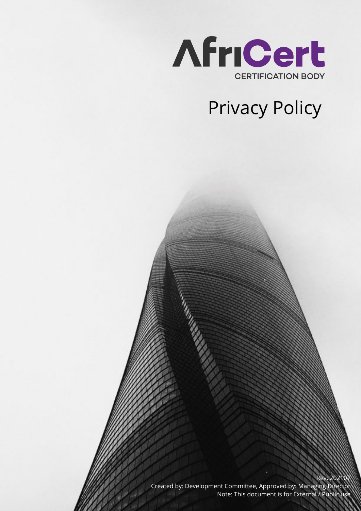

# Privacy Policy

Rev. 202 Created by: Development Committee, Approved by: Managing Director Note: This document is for External / Public use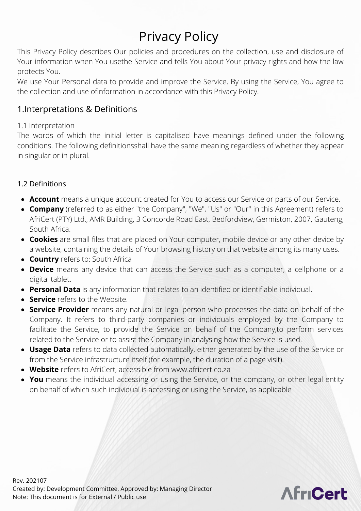## Privacy Policy

This Privacy Policy describes Our policies and procedures on the collection, use and disclosure of Your information when You usethe Service and tells You about Your privacy rights and how the law protects You.

We use Your Personal data to provide and improve the Service. By using the Service, You agree to the collection and use ofinformation in accordance with this Privacy Policy.

## 1.Interpretations & Definitions

#### 1.1 Interpretation

The words of which the initial letter is capitalised have meanings defined under the following conditions. The following definitionsshall have the same meaning regardless of whether they appear in singular or in plural.

#### 1.2 Definitions

- **Account** means a unique account created for You to access our Service or parts of our Service.
- **Company** (referred to as either "the Company", "We", "Us" or "Our" in this Agreement) refers to AfriCert (PTY) Ltd., AMR Building, 3 Concorde Road East, Bedfordview, Germiston, 2007, Gauteng, South Africa.
- **Cookies** are small files that are placed on Your computer, mobile device or any other device by a website, containing the details of Your browsing history on that website among its many uses.
- **Country** refers to: South Africa
- **Device** means any device that can access the Service such as a computer, a cellphone or a digital tablet.
- **Personal Data** is any information that relates to an identified or identifiable individual.
- **Service** refers to the Website.
- **Service Provider** means any natural or legal person who processes the data on behalf of the Company. It refers to third-party companies or individuals employed by the Company to facilitate the Service, to provide the Service on behalf of the Company,to perform services related to the Service or to assist the Company in analysing how the Service is used.
- **Usage Data** refers to data collected automatically, either generated by the use of the Service or from the Service infrastructure itself (for example, the duration of a page visit).
- **Website** refers to AfriCert, accessible from www.africert.co.za
- **You** means the individual accessing or using the Service, or the company, or other legal entity on behalf of which such individual is accessing or using the Service, as applicable

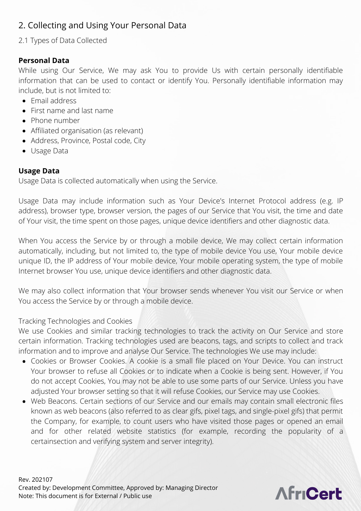## 2. Collecting and Using Your Personal Data

## 2.1 Types of Data Collected

## **Personal Data**

While using Our Service, We may ask You to provide Us with certain personally identifiable information that can be used to contact or identify You. Personally identifiable information may include, but is not limited to:

- Email address
- First name and last name
- Phone number
- Affiliated organisation (as relevant)
- Address, Province, Postal code, City
- Usage Data

#### **Usage Data**

Usage Data is collected automatically when using the Service.

Usage Data may include information such as Your Device's Internet Protocol address (e.g. IP address), browser type, browser version, the pages of our Service that You visit, the time and date of Your visit, the time spent on those pages, unique device identifiers and other diagnostic data.

When You access the Service by or through a mobile device, We may collect certain information automatically, including, but not limited to, the type of mobile device You use, Your mobile device unique ID, the IP address of Your mobile device, Your mobile operating system, the type of mobile Internet browser You use, unique device identifiers and other diagnostic data.

We may also collect information that Your browser sends whenever You visit our Service or when You access the Service by or through a mobile device.

#### Tracking Technologies and Cookies

We use Cookies and similar tracking technologies to track the activity on Our Service and store certain information. Tracking technologies used are beacons, tags, and scripts to collect and track information and to improve and analyse Our Service. The technologies We use may include:

- Cookies or Browser Cookies. A cookie is a small file placed on Your Device. You can instruct Your browser to refuse all Cookies or to indicate when a Cookie is being sent. However, if You do not accept Cookies, You may not be able to use some parts of our Service. Unless you have adjusted Your browser setting so that it will refuse Cookies, our Service may use Cookies.
- Web Beacons. Certain sections of our Service and our emails may contain small electronic files known as web beacons (also referred to as clear gifs, pixel tags, and single-pixel gifs) that permit the Company, for example, to count users who have visited those pages or opened an email and for other related website statistics (for example, recording the popularity of a certainsection and verifying system and server integrity).

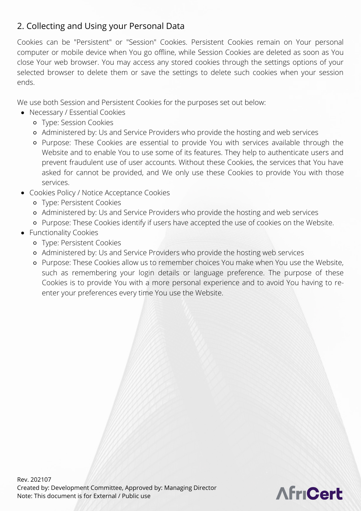## 2. Collecting and Using your Personal Data

Cookies can be "Persistent" or "Session" Cookies. Persistent Cookies remain on Your personal computer or mobile device when You go offline, while Session Cookies are deleted as soon as You close Your web browser. You may access any stored cookies through the settings options of your selected browser to delete them or save the settings to delete such cookies when your session ends.

We use both Session and Persistent Cookies for the purposes set out below:

- Necessary / Essential Cookies
	- Type: Session Cookies
	- Administered by: Us and Service Providers who provide the hosting and web services
	- Purpose: These Cookies are essential to provide You with services available through the Website and to enable You to use some of its features. They help to authenticate users and prevent fraudulent use of user accounts. Without these Cookies, the services that You have asked for cannot be provided, and We only use these Cookies to provide You with those services.
- Cookies Policy / Notice Acceptance Cookies
	- Type: Persistent Cookies
	- Administered by: Us and Service Providers who provide the hosting and web services
	- Purpose: These Cookies identify if users have accepted the use of cookies on the Website.
- Functionality Cookies
	- Type: Persistent Cookies
	- Administered by: Us and Service Providers who provide the hosting web services
	- Purpose: These Cookies allow us to remember choices You make when You use the Website, such as remembering your login details or language preference. The purpose of these Cookies is to provide You with a more personal experience and to avoid You having to reenter your preferences every time You use the Website.

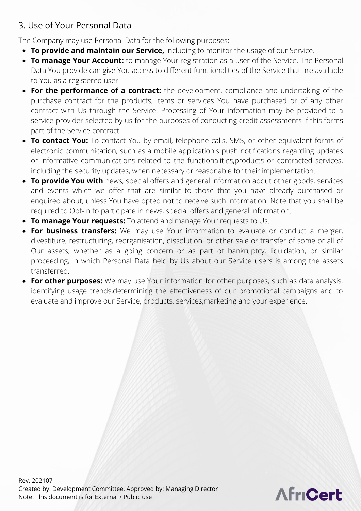The Company may use Personal Data for the following purposes:

- **To provide and maintain our Service,** including to monitor the usage of our Service.
- **To manage Your Account:** to manage Your registration as a user of the Service. The Personal Data You provide can give You access to different functionalities of the Service that are available to You as a registered user.
- **For the performance of a contract:** the development, compliance and undertaking of the purchase contract for the products, items or services You have purchased or of any other contract with Us through the Service. Processing of Your information may be provided to a service provider selected by us for the purposes of conducting credit assessments if this forms part of the Service contract.
- **To contact You:** To contact You by email, telephone calls, SMS, or other equivalent forms of electronic communication, such as a mobile application's push notifications regarding updates or informative communications related to the functionalities,products or contracted services, including the security updates, when necessary or reasonable for their implementation.
- **To provide You with** news, special offers and general information about other goods, services and events which we offer that are similar to those that you have already purchased or enquired about, unless You have opted not to receive such information. Note that you shall be required to Opt-In to participate in news, special offers and general information.
- **To manage Your requests:** To attend and manage Your requests to Us.
- **For business transfers:** We may use Your information to evaluate or conduct a merger, divestiture, restructuring, reorganisation, dissolution, or other sale or transfer of some or all of Our assets, whether as a going concern or as part of bankruptcy, liquidation, or similar proceeding, in which Personal Data held by Us about our Service users is among the assets transferred.
- **For other purposes:** We may use Your information for other purposes, such as data analysis, identifying usage trends,determining the effectiveness of our promotional campaigns and to evaluate and improve our Service, products, services,marketing and your experience.

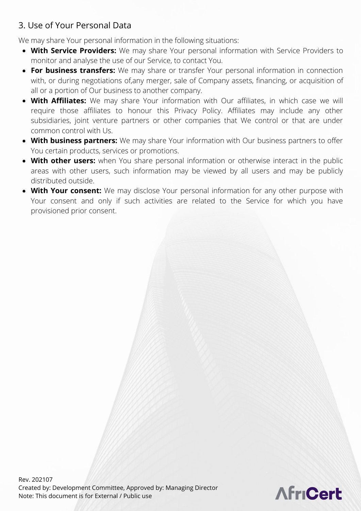We may share Your personal information in the following situations:

- **With Service Providers:** We may share Your personal information with Service Providers to monitor and analyse the use of our Service, to contact You.
- **For business transfers:** We may share or transfer Your personal information in connection with, or during negotiations of,any merger, sale of Company assets, financing, or acquisition of all or a portion of Our business to another company.
- **With Affiliates:** We may share Your information with Our affiliates, in which case we will require those affiliates to honour this Privacy Policy. Affiliates may include any other subsidiaries, joint venture partners or other companies that We control or that are under common control with Us.
- **With business partners:** We may share Your information with Our business partners to offer You certain products, services or promotions.
- **With other users:** when You share personal information or otherwise interact in the public areas with other users, such information may be viewed by all users and may be publicly distributed outside.
- **With Your consent:** We may disclose Your personal information for any other purpose with Your consent and only if such activities are related to the Service for which you have provisioned prior consent.

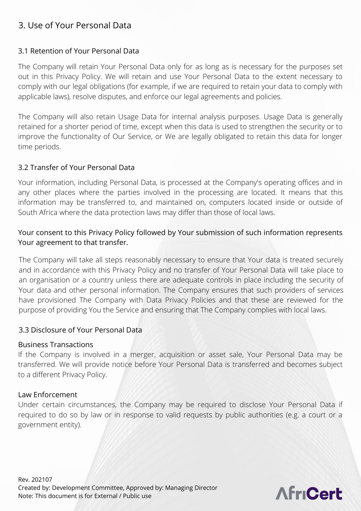#### 3.1 Retention of Your Personal Data

The Company will retain Your Personal Data only for as long as is necessary for the purposes set out in this Privacy Policy. We will retain and use Your Personal Data to the extent necessary to comply with our legal obligations (for example, if we are required to retain your data to comply with applicable laws), resolve disputes, and enforce our legal agreements and policies.

The Company will also retain Usage Data for internal analysis purposes. Usage Data is generally retained for a shorter period of time, except when this data is used to strengthen the security or to improve the functionality of Our Service, or We are legally obligated to retain this data for longer time periods.

#### 3.2 Transfer of Your Personal Data

Your information, including Personal Data, is processed at the Company's operating offices and in any other places where the parties involved in the processing are located. It means that this information may be transferred to, and maintained on, computers located inside or outside of South Africa where the data protection laws may differ than those of local laws.

#### Your consent to this Privacy Policy followed by Your submission of such information represents Your agreement to that transfer.

The Company will take all steps reasonably necessary to ensure that Your data is treated securely and in accordance with this Privacy Policy and no transfer of Your Personal Data will take place to an organisation or a country unless there are adequate controls in place including the security of Your data and other personal information. The Company ensures that such providers of services have provisioned The Company with Data Privacy Policies and that these are reviewed for the purpose of providing You the Service and ensuring that The Company complies with local laws.

#### 3.3 Disclosure of Your Personal Data

#### Business Transactions

If the Company is involved in a merger, acquisition or asset sale, Your Personal Data may be transferred. We will provide notice before Your Personal Data is transferred and becomes subject to a different Privacy Policy.

#### Law Enforcement

Under certain circumstances, the Company may be required to disclose Your Personal Data if required to do so by law or in response to valid requests by public authorities (e.g. a court or a government entity).

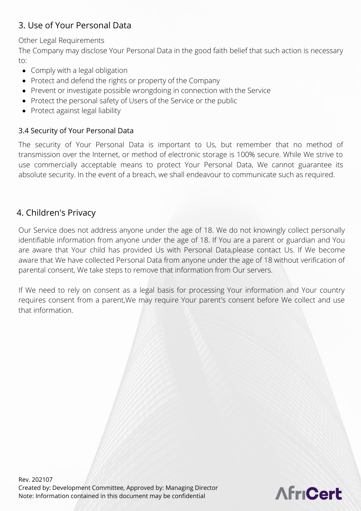#### Other Legal Requirements

The Company may disclose Your Personal Data in the good faith belief that such action is necessary to:

- Comply with a legal obligation
- Protect and defend the rights or property of the Company
- Prevent or investigate possible wrongdoing in connection with the Service
- Protect the personal safety of Users of the Service or the public
- Protect against legal liability

#### 3.4 Security of Your Personal Data

The security of Your Personal Data is important to Us, but remember that no method of transmission over the Internet, or method of electronic storage is 100% secure. While We strive to use commercially acceptable means to protect Your Personal Data, We cannot guarantee its absolute security. In the event of a breach, we shall endeavour to communicate such as required.

## 4. Children's Privacy

Our Service does not address anyone under the age of 18. We do not knowingly collect personally identifiable information from anyone under the age of 18. If You are a parent or guardian and You are aware that Your child has provided Us with Personal Data,please contact Us. If We become aware that We have collected Personal Data from anyone under the age of 18 without verification of parental consent, We take steps to remove that information from Our servers.

If We need to rely on consent as a legal basis for processing Your information and Your country requires consent from a parent,We may require Your parent's consent before We collect and use that information.